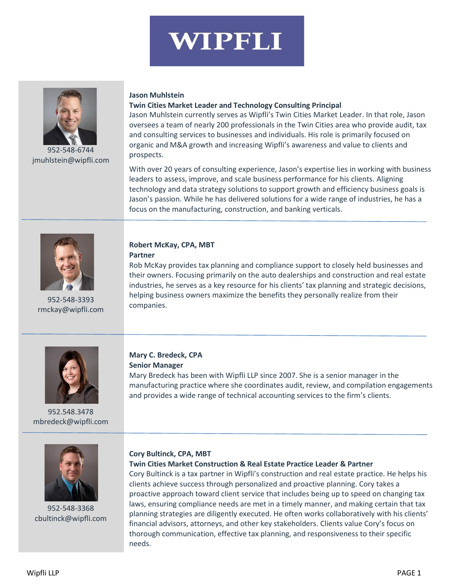

952-548-6744 [jmuhlstein@wipfli.com](mailto:jmuhlstein@wipfli.com)

#### **Jason Muhlstein**

#### **Twin Cities Market Leader and Technology Consulting Principal**

Jason Muhlstein currently serves as Wipfli's Twin Cities Market Leader. In that role, Jason oversees a team of nearly 200 professionals in the Twin Cities area who provide audit, tax and consulting services to businesses and individuals. His role is primarily focused on organic and M&A growth and increasing Wipfli's awareness and value to clients and prospects.

With over 20 years of consulting experience, Jason's expertise lies in working with business leaders to assess, improve, and scale business performance for his clients. Aligning technology and data strategy solutions to support growth and efficiency business goals is Jason's passion. While he has delivered solutions for a wide range of industries, he has a focus on the manufacturing, construction, and banking verticals.



952-548-3393 [rmckay@wipfli.com](mailto:rmckay@wipfli.com)

# **Robert McKay, CPA, MBT**

**Partner**

Rob McKay provides tax planning and compliance support to closely held businesses and their owners. Focusing primarily on the auto dealerships and construction and real estate industries, he serves as a key resource for his clients' tax planning and strategic decisions, helping business owners maximize the benefits they personally realize from their companies.



952.548.3478 [mbredeck@wipfli.com](mailto:mbredeck@wipfli.com)

#### **Mary C. Bredeck, CPA Senior Manager**

Mary Bredeck has been with Wipfli LLP since 2007. She is a senior manager in the manufacturing practice where she coordinates audit, review, and compilation engagements and provides a wide range of technical accounting services to the firm's clients.



952-548-3368 [cbultinck@wipfli.com](mailto:cbultinck@wipfli.com)

#### **Cory Bultinck, CPA, MBT**

#### **Twin Cities Market Construction & Real Estate Practice Leader & Partner**

Cory Bultinck is a tax partner in Wipfli's construction and real estate practice. He helps his clients achieve success through personalized and proactive planning. Cory takes a proactive approach toward client service that includes being up to speed on changing tax laws, ensuring compliance needs are met in a timely manner, and making certain that tax planning strategies are diligently executed. He often works collaboratively with his clients' financial advisors, attorneys, and other key stakeholders. Clients value Cory's focus on thorough communication, effective tax planning, and responsiveness to their specific needs.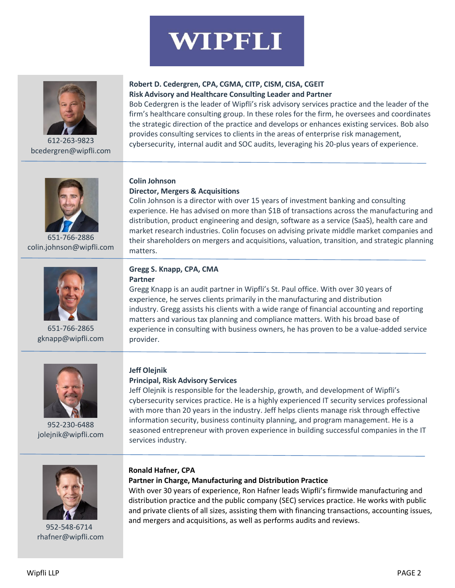

612-263-9823 [bcedergren@wipfli.com](mailto:bcedergren@wipfli.com)

### **Robert D. Cedergren, CPA, CGMA, CITP, CISM, CISA, CGEIT Risk Advisory and Healthcare Consulting Leader and Partner**

Bob Cedergren is the leader of Wipfli's risk advisory services practice and the leader of the firm's healthcare consulting group. In these roles for the firm, he oversees and coordinates the strategic direction of the practice and develops or enhances existing services. Bob also provides consulting services to clients in the areas of enterprise risk management, cybersecurity, internal audit and SOC audits, leveraging his 20-plus years of experience.



651-766-2886 [colin.johnson@wipfli.com](mailto:colin.johnson@wipfli.com)



651-766-2865 [gknapp@wipfli.com](mailto:gknapp@wipfli.com)

# **Colin Johnson**

### **Director, Mergers & Acquisitions**

Colin Johnson is a director with over 15 years of investment banking and consulting experience. He has advised on more than \$1B of transactions across the manufacturing and distribution, product engineering and design, software as a service (SaaS), health care and market research industries. Colin focuses on advising private middle market companies and their shareholders on mergers and acquisitions, valuation, transition, and strategic planning matters.

#### **Gregg S. Knapp, CPA, CMA Partner**

Gregg Knapp is an audit partner in Wipfli's St. Paul office. With over 30 years of experience, he serves clients primarily in the manufacturing and distribution industry. Gregg assists his clients with a wide range of financial accounting and reporting matters and various tax planning and compliance matters. With his broad base of experience in consulting with business owners, he has proven to be a value-added service provider.



952-230-6488 [jolejnik@wipfli.com](mailto:jolejnik@wipfli.com)

# **Jeff Olejnik**

# **Principal, Risk Advisory Services**

Jeff Olejnik is responsible for the leadership, growth, and development of Wipfli's cybersecurity services practice. He is a highly experienced IT security services professional with more than 20 years in the industry. Jeff helps clients manage risk through effective information security, business continuity planning, and program management. He is a seasoned entrepreneur with proven experience in building successful companies in the IT services industry.



952-548-6714 rhafner@wipfli.com

# **Ronald Hafner, CPA**

#### **Partner in Charge, Manufacturing and Distribution Practice**

With over 30 years of experience, Ron Hafner leads Wipfli's firmwide manufacturing and distribution practice and the public company (SEC) services practice. He works with public and private clients of all sizes, assisting them with financing transactions, accounting issues, and mergers and acquisitions, as well as performs audits and reviews.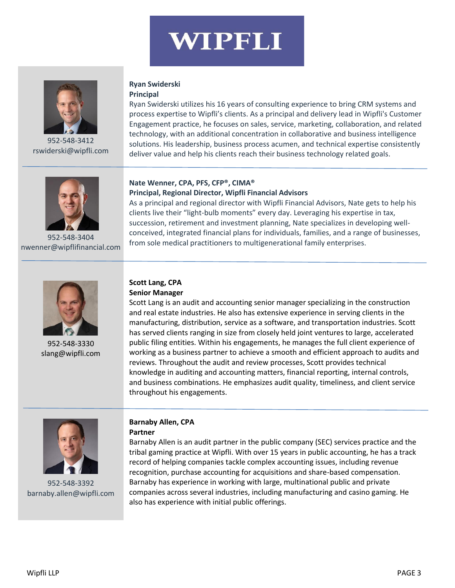

952-548-3412 [rswiderski@wipfli.com](mailto:rswiderski@wipfli.com)

### **Ryan Swiderski Principal**

Ryan Swiderski utilizes his 16 years of consulting experience to bring CRM systems and process expertise to Wipfli's clients. As a principal and delivery lead in Wipfli's Customer Engagement practice, he focuses on sales, service, marketing, collaboration, and related technology, with an additional concentration in collaborative and business intelligence solutions. His leadership, business process acumen, and technical expertise consistently deliver value and help his clients reach their business technology related goals.



952-548-3404 [nwenner@wipflifinancial.com](mailto:nwenner@wipflifinancial.com)

# **Nate Wenner, CPA, PFS, CFP®, CIMA® Principal, Regional Director, Wipfli Financial Advisors**

As a principal and regional director with Wipfli Financial Advisors, Nate gets to help his clients live their "light-bulb moments" every day. Leveraging his expertise in tax, succession, retirement and investment planning, Nate specializes in developing wellconceived, integrated financial plans for individuals, families, and a range of businesses, from sole medical practitioners to multigenerational family enterprises.



952-548-3330 slang@wipfli.com

# **Scott Lang, CPA Senior Manager**

Scott Lang is an audit and accounting senior manager specializing in the construction and real estate industries. He also has extensive experience in serving clients in the manufacturing, distribution, service as a software, and transportation industries. Scott has served clients ranging in size from closely held joint ventures to large, accelerated public filing entities. Within his engagements, he manages the full client experience of working as a business partner to achieve a smooth and efficient approach to audits and reviews. Throughout the audit and review processes, Scott provides technical knowledge in auditing and accounting matters, financial reporting, internal controls, and business combinations. He emphasizes audit quality, timeliness, and client service throughout his engagements.



952-548-3392 barnaby.allen@wipfli.com

# **Barnaby Allen, CPA Partner**

Barnaby Allen is an audit partner in the public company (SEC) services practice and the tribal gaming practice at Wipfli. With over 15 years in public accounting, he has a track record of helping companies tackle complex accounting issues, including revenue recognition, purchase accounting for acquisitions and share-based compensation. Barnaby has experience in working with large, multinational public and private companies across several industries, including manufacturing and casino gaming. He also has experience with initial public offerings.